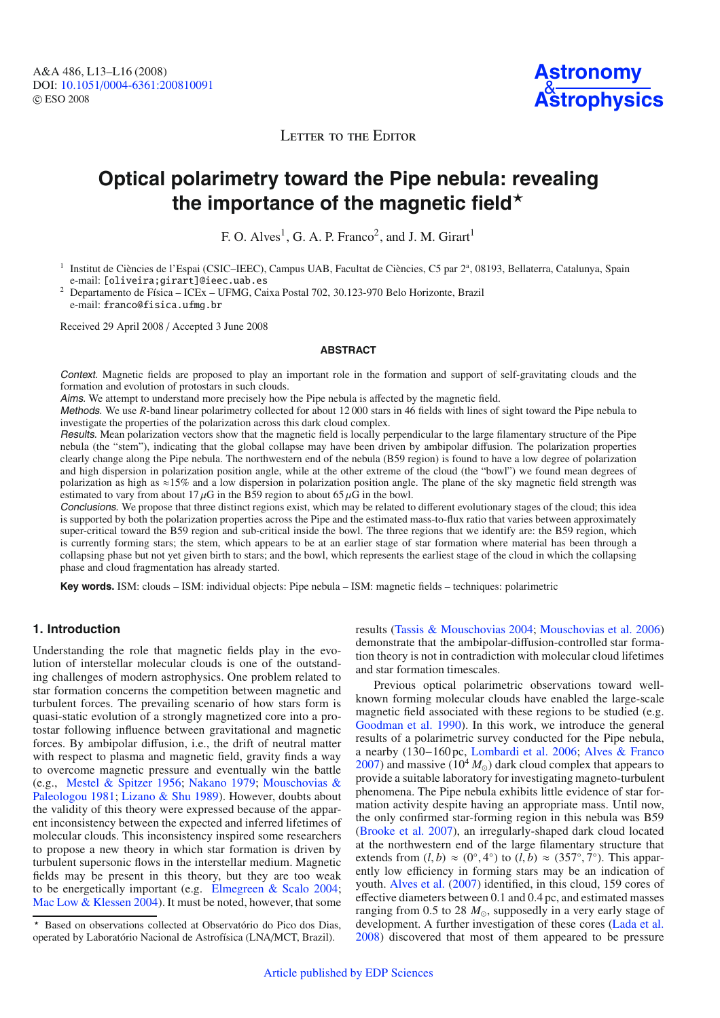LETTER TO THE EDITOR

# **Optical polarimetry toward the Pipe nebula: revealing** the importance of the magnetic field<sup>\*</sup>

F. O. Alves<sup>1</sup>, G. A. P. Franco<sup>2</sup>, and J. M. Girart<sup>1</sup>

<sup>1</sup> Institut de Ciències de l'Espai (CSIC–IEEC), Campus UAB, Facultat de Ciències, C5 par 2<sup>a</sup>, 08193, Bellaterra, Catalunya, Spain e-mail: [oliveira;girart]@ieec.uab.es <sup>2</sup> Departamento de Física – ICEx – UFMG, Caixa Postal 702, 30.123-970 Belo Horizonte, Brazil

e-mail: franco@fisica.ufmg.br

Received 29 April 2008 / Accepted 3 June 2008

#### **ABSTRACT**

Context. Magnetic fields are proposed to play an important role in the formation and support of self-gravitating clouds and the formation and evolution of protostars in such clouds.

Aims. We attempt to understand more precisely how the Pipe nebula is affected by the magnetic field.

Methods. We use *R*-band linear polarimetry collected for about 12 000 stars in 46 fields with lines of sight toward the Pipe nebula to investigate the properties of the polarization across this dark cloud complex.

Results. Mean polarization vectors show that the magnetic field is locally perpendicular to the large filamentary structure of the Pipe nebula (the "stem"), indicating that the global collapse may have been driven by ambipolar diffusion. The polarization properties clearly change along the Pipe nebula. The northwestern end of the nebula (B59 region) is found to have a low degree of polarization and high dispersion in polarization position angle, while at the other extreme of the cloud (the "bowl") we found mean degrees of polarization as high as ≈15% and a low dispersion in polarization position angle. The plane of the sky magnetic field strength was estimated to vary from about 17  $\mu$ G in the B59 region to about 65  $\mu$ G in the bowl.

Conclusions. We propose that three distinct regions exist, which may be related to different evolutionary stages of the cloud; this idea is supported by both the polarization properties across the Pipe and the estimated mass-to-flux ratio that varies between approximately super-critical toward the B59 region and sub-critical inside the bowl. The three regions that we identify are: the B59 region, which is currently forming stars; the stem, which appears to be at an earlier stage of star formation where material has been through a collapsing phase but not yet given birth to stars; and the bowl, which represents the earliest stage of the cloud in which the collapsing phase and cloud fragmentation has already started.

**Key words.** ISM: clouds – ISM: individual objects: Pipe nebula – ISM: magnetic fields – techniques: polarimetric

## **1. Introduction**

Understanding the role that magnetic fields play in the evolution of interstellar molecular clouds is one of the outstanding challenges of modern astrophysics. One problem related to star formation concerns the competition between magnetic and turbulent forces. The prevailing scenario of how stars form is quasi-static evolution of a strongly magnetized core into a protostar following influence between gravitational and magnetic forces. By ambipolar diffusion, i.e., the drift of neutral matter with respect to plasma and magnetic field, gravity finds a way to overcome magnetic pressure and eventually win the battle (e.g., [Mestel & Spitzer 1956](#page-3-0)[;](#page-3-2) [Nakano 1979](#page-3-1); Mouschovias & Paleologou [1981](#page-3-2); [Lizano & Shu 1989\)](#page-3-3). However, doubts about the validity of this theory were expressed because of the apparent inconsistency between the expected and inferred lifetimes of molecular clouds. This inconsistency inspired some researchers to propose a new theory in which star formation is driven by turbulent supersonic flows in the interstellar medium. Magnetic fields may be present in this theory, but they are too weak to be energetically important (e.g. [Elmegreen & Scalo 2004](#page-3-4); [Mac Low & Klessen 2004\)](#page-3-5). It must be noted, however, that some

results [\(Tassis & Mouschovias 2004;](#page-3-6) [Mouschovias et al. 2006\)](#page-3-7) demonstrate that the ambipolar-diffusion-controlled star formation theory is not in contradiction with molecular cloud lifetimes and star formation timescales.

Previous optical polarimetric observations toward wellknown forming molecular clouds have enabled the large-scale magnetic field associated with these regions to be studied (e.g. [Goodman et al. 1990](#page-3-8)). In this work, we introduce the general results of a polarimetric survey conducted for the Pipe nebula, a nearby (130−160pc, [Lombardi et al. 2006;](#page-3-9) [Alves & Franco](#page-3-10) [2007](#page-3-10)) and massive  $(10^4 M_{\odot})$  dark cloud complex that appears to provide a suitable laboratory for investigating magneto-turbulent phenomena. The Pipe nebula exhibits little evidence of star formation activity despite having an appropriate mass. Until now, the only confirmed star-forming region in this nebula was B59 [\(Brooke et al. 2007](#page-3-11)), an irregularly-shaped dark cloud located at the northwestern end of the large filamentary structure that extends from  $(l, b) \approx (0^\circ, 4^\circ)$  to  $(l, b) \approx (357^\circ, 7^\circ)$ . This apparently low efficiency in forming stars may be an indication of youth. [Alves et al.](#page-3-12) [\(2007](#page-3-12)) identified, in this cloud, 159 cores of effective diameters between 0.1 and 0.4 pc, and estimated masses ranging from 0.5 to 28  $M_{\odot}$ , supposedly in a very early stage of development. A further investigation of these cores [\(Lada et al.](#page-3-13) [2008](#page-3-13)) discovered that most of them appeared to be pressure

<sup>-</sup> Based on observations collected at Observatório do Pico dos Dias, operated by Laboratório Nacional de Astrofísica (LNA/MCT, Brazil).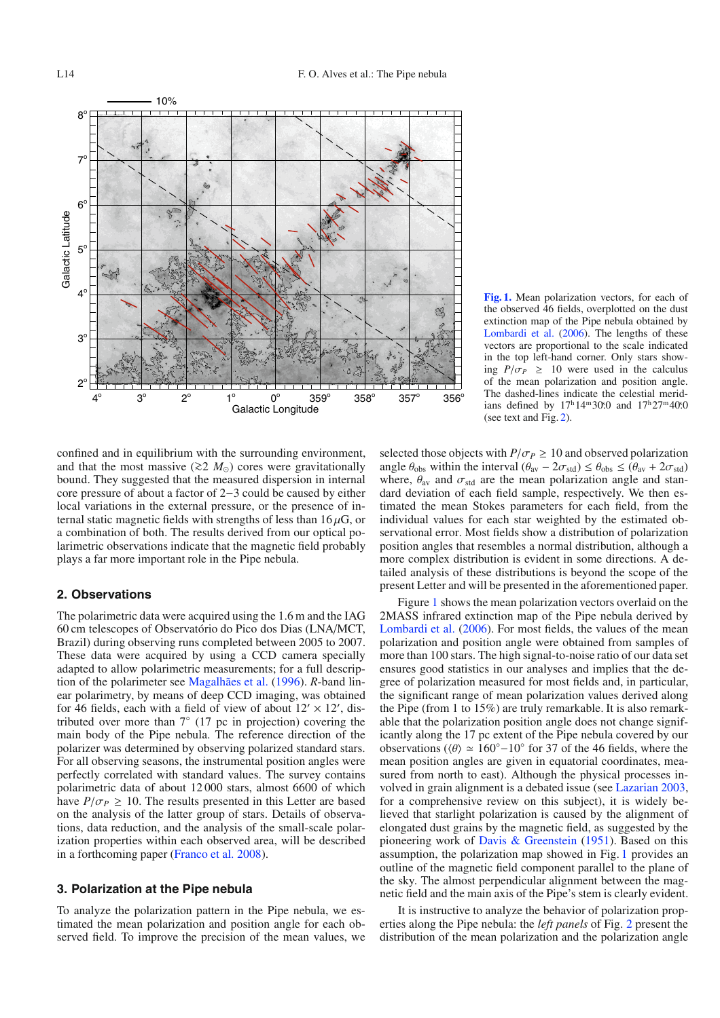

<span id="page-1-0"></span>**[Fig. 1.](http://dexter.edpsciences.org/applet.php?DOI=10.1051/0004-6361:200810091&pdf_id=1)** Mean polarization vectors, for each of the observed 46 fields, overplotted on the dust extinction map of the Pipe nebula obtained by [Lombardi et al.](#page-3-9) [\(2006\)](#page-3-9). The lengths of these vectors are proportional to the scale indicated in the top left-hand corner. Only stars showing  $P/\sigma_P \geq 10$  were used in the calculus of the mean polarization and position angle. The dashed-lines indicate the celestial meridians defined by  $17^{\text{h}}14^{\text{m}}30^{\text{e}}0$  and  $17^{\text{h}}27^{\text{m}}40^{\text{e}}0$ (see text and Fig. [2\)](#page-2-0).

confined and in equilibrium with the surrounding environment, and that the most massive ( $\gtrsim$ 2 *M*<sub>○</sub>) cores were gravitationally bound. They suggested that the measured dispersion in internal core pressure of about a factor of 2−3 could be caused by either local variations in the external pressure, or the presence of internal static magnetic fields with strengths of less than  $16 \mu$ G, or a combination of both. The results derived from our optical polarimetric observations indicate that the magnetic field probably plays a far more important role in the Pipe nebula.

## **2. Observations**

The polarimetric data were acquired using the 1.6 m and the IAG 60 cm telescopes of Observatório do Pico dos Dias (LNA/MCT, Brazil) during observing runs completed between 2005 to 2007. These data were acquired by using a CCD camera specially adapted to allow polarimetric measurements; for a full description of the polarimeter see [Magalhães et al.](#page-3-14) [\(1996](#page-3-14)). *R*-band linear polarimetry, by means of deep CCD imaging, was obtained for 46 fields, each with a field of view of about  $12' \times 12'$ , distributed over more than 7◦ (17 pc in projection) covering the main body of the Pipe nebula. The reference direction of the polarizer was determined by observing polarized standard stars. For all observing seasons, the instrumental position angles were perfectly correlated with standard values. The survey contains polarimetric data of about 12 000 stars, almost 6600 of which have  $P/\sigma_P \geq 10$ . The results presented in this Letter are based on the analysis of the latter group of stars. Details of observations, data reduction, and the analysis of the small-scale polarization properties within each observed area, will be described in a forthcoming paper [\(Franco et al. 2008](#page-3-15)).

#### **3. Polarization at the Pipe nebula**

To analyze the polarization pattern in the Pipe nebula, we estimated the mean polarization and position angle for each observed field. To improve the precision of the mean values, we selected those objects with  $P/\sigma_P \geq 10$  and observed polarization angle  $\theta_{obs}$  within the interval  $(\theta_{av} - 2\sigma_{std}) \leq \theta_{obs} \leq (\theta_{av} + 2\sigma_{std})$ where,  $\theta_{\text{av}}$  and  $\sigma_{\text{std}}$  are the mean polarization angle and standard deviation of each field sample, respectively. We then estimated the mean Stokes parameters for each field, from the individual values for each star weighted by the estimated observational error. Most fields show a distribution of polarization position angles that resembles a normal distribution, although a more complex distribution is evident in some directions. A detailed analysis of these distributions is beyond the scope of the present Letter and will be presented in the aforementioned paper.

Figure [1](#page-1-0) shows the mean polarization vectors overlaid on the 2MASS infrared extinction map of the Pipe nebula derived by [Lombardi et al.](#page-3-9) [\(2006\)](#page-3-9). For most fields, the values of the mean polarization and position angle were obtained from samples of more than 100 stars. The high signal-to-noise ratio of our data set ensures good statistics in our analyses and implies that the degree of polarization measured for most fields and, in particular, the significant range of mean polarization values derived along the Pipe (from 1 to 15%) are truly remarkable. It is also remarkable that the polarization position angle does not change significantly along the 17 pc extent of the Pipe nebula covered by our observations ( $\langle \theta \rangle \simeq 160^{\circ} - 10^{\circ}$  for 37 of the 46 fields, where the mean position angles are given in equatorial coordinates, measured from north to east). Although the physical processes involved in grain alignment is a debated issue (see [Lazarian 2003](#page-3-16), for a comprehensive review on this subject), it is widely believed that starlight polarization is caused by the alignment of elongated dust grains by the magnetic field, as suggested by the pioneering work of [Davis & Greenstein](#page-3-17) [\(1951\)](#page-3-17). Based on this assumption, the polarization map showed in Fig. [1](#page-1-0) provides an outline of the magnetic field component parallel to the plane of the sky. The almost perpendicular alignment between the magnetic field and the main axis of the Pipe's stem is clearly evident.

It is instructive to analyze the behavior of polarization properties along the Pipe nebula: the *left panels* of Fig. [2](#page-2-0) present the distribution of the mean polarization and the polarization angle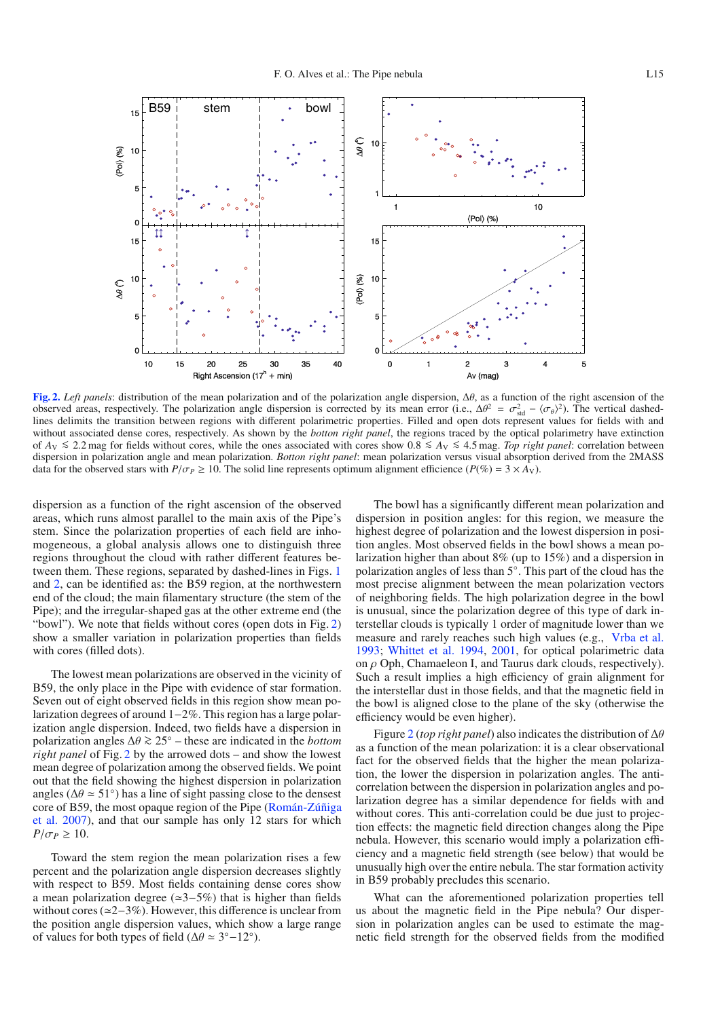

<span id="page-2-0"></span>**[Fig. 2.](http://dexter.edpsciences.org/applet.php?DOI=10.1051/0004-6361:200810091&pdf_id=2)** *Left panels*: distribution of the mean polarization and of the polarization angle dispersion, Δθ, as a function of the right ascension of the observed areas, respectively. The polarization angle dispersion is corrected by its mean error (i.e.,  $\Delta\theta^2 = \sigma_{\text{std}}^2 - \langle \sigma_{\theta} \rangle^2$ ). The vertical dashedlines delimits the transition between regions with different polarimetric properties. Filled and open dots represent values for fields with and without associated dense cores, respectively. As shown by the *botton right panel*, the regions traced by the optical polarimetry have extinction of *<sup>A</sup>*<sup>V</sup> <sup>&</sup>lt;<sup>∼</sup> <sup>2</sup>.2 mag for fields without cores, while the ones associated with cores show 0.<sup>8</sup> <sup>&</sup>lt;<sup>∼</sup> *<sup>A</sup>*<sup>V</sup> <sup>&</sup>lt;<sup>∼</sup> <sup>4</sup>.5 mag. *Top right panel*: correlation between dispersion in polarization angle and mean polarization. *Botton right panel*: mean polarization versus visual absorption derived from the 2MASS data for the observed stars with  $P/\sigma_P \ge 10$ . The solid line represents optimum alignment efficience  $(P(\%) = 3 \times A_V)$ .

dispersion as a function of the right ascension of the observed areas, which runs almost parallel to the main axis of the Pipe's stem. Since the polarization properties of each field are inhomogeneous, a global analysis allows one to distinguish three regions throughout the cloud with rather different features between them. These regions, separated by dashed-lines in Figs. [1](#page-1-0) and [2,](#page-2-0) can be identified as: the B59 region, at the northwestern end of the cloud; the main filamentary structure (the stem of the Pipe); and the irregular-shaped gas at the other extreme end (the "bowl"). We note that fields without cores (open dots in Fig. [2\)](#page-2-0) show a smaller variation in polarization properties than fields with cores (filled dots).

The lowest mean polarizations are observed in the vicinity of B59, the only place in the Pipe with evidence of star formation. Seven out of eight observed fields in this region show mean polarization degrees of around 1−2%. This region has a large polarization angle dispersion. Indeed, two fields have a dispersion in polarization angles <sup>Δ</sup><sup>θ</sup> <sup>&</sup>gt;<sup>∼</sup> <sup>25</sup>◦ – these are indicated in the *bottom right panel* of Fig. [2](#page-2-0) by the arrowed dots – and show the lowest mean degree of polarization among the observed fields. We point out that the field showing the highest dispersion in polarization angles ( $\Delta \theta \simeq 51^\circ$ ) has a line of sight passing close to the densest core [of B59, the most opaque region of the Pipe \(](#page-3-18)Román-Zúñiga et al. [2007\)](#page-3-18), and that our sample has only 12 stars for which  $P/\sigma_P \geq 10$ .

Toward the stem region the mean polarization rises a few percent and the polarization angle dispersion decreases slightly with respect to B59. Most fields containing dense cores show a mean polarization degree (3−5%) that is higher than fields without cores (≃2–3%). However, this difference is unclear from the position angle dispersion values, which show a large range of values for both types of field ( $\Delta\theta \approx 3^{\circ} - 12^{\circ}$ ).

The bowl has a significantly different mean polarization and dispersion in position angles: for this region, we measure the highest degree of polarization and the lowest dispersion in position angles. Most observed fields in the bowl shows a mean polarization higher than about 8% (up to 15%) and a dispersion in polarization angles of less than 5◦. This part of the cloud has the most precise alignment between the mean polarization vectors of neighboring fields. The high polarization degree in the bowl is unusual, since the polarization degree of this type of dark interstellar clouds is typically 1 order of magnitude lower than we measure and rarely reaches such high values (e.g., [Vrba et al.](#page-3-19) [1993](#page-3-19); [Whittet et al. 1994,](#page-3-20) [2001](#page-3-21), for optical polarimetric data on  $\rho$  Oph, Chamaeleon I, and Taurus dark clouds, respectively). Such a result implies a high efficiency of grain alignment for the interstellar dust in those fields, and that the magnetic field in the bowl is aligned close to the plane of the sky (otherwise the efficiency would be even higher).

Figure [2](#page-2-0) (*top right panel*) also indicates the distribution of Δθ as a function of the mean polarization: it is a clear observational fact for the observed fields that the higher the mean polarization, the lower the dispersion in polarization angles. The anticorrelation between the dispersion in polarization angles and polarization degree has a similar dependence for fields with and without cores. This anti-correlation could be due just to projection effects: the magnetic field direction changes along the Pipe nebula. However, this scenario would imply a polarization efficiency and a magnetic field strength (see below) that would be unusually high over the entire nebula. The star formation activity in B59 probably precludes this scenario.

What can the aforementioned polarization properties tell us about the magnetic field in the Pipe nebula? Our dispersion in polarization angles can be used to estimate the magnetic field strength for the observed fields from the modified